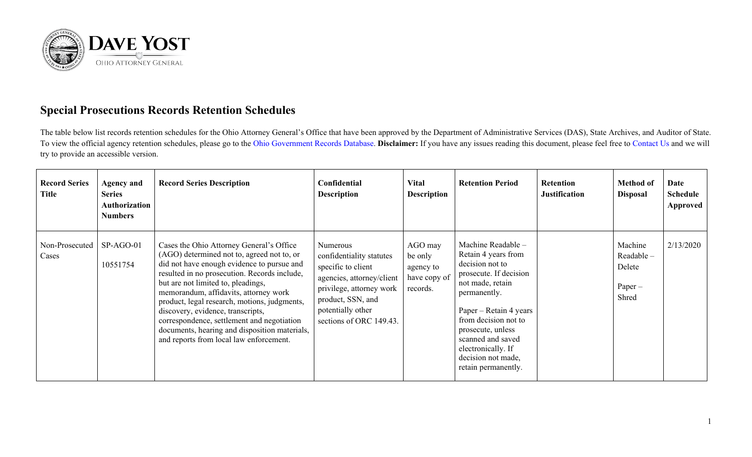

## **Special Prosecutions Records Retention Schedules**

The table below list records retention schedules for the Ohio Attorney General's Office that have been approved by the Department of Administrative Services (DAS), State Archives, and Auditor of State. To view the official agency retention schedules, please go to the [Ohio Government Records Database.](https://apps.das.ohio.gov/RIMS/GeneralSchedule) **Disclaimer:** If you have any issues reading this document, please feel free to [Contact Us](https://www.ohioattorneygeneral.gov/About-AG/Contact) and we will try to provide an accessible version.

| <b>Record Series</b><br>Title | <b>Agency and</b><br><b>Series</b><br>Authorization<br><b>Numbers</b> | <b>Record Series Description</b>                                                                                                                                                                                                                                                                                                                                                                                                                                                                   | Confidential<br><b>Description</b>                                                                                                                                                       | <b>Vital</b><br><b>Description</b>                          | <b>Retention Period</b>                                                                                                                                                                                                                                                                   | <b>Retention</b><br><b>Justification</b> | <b>Method of</b><br><b>Disposal</b>                     | Date<br><b>Schedule</b><br>Approved |
|-------------------------------|-----------------------------------------------------------------------|----------------------------------------------------------------------------------------------------------------------------------------------------------------------------------------------------------------------------------------------------------------------------------------------------------------------------------------------------------------------------------------------------------------------------------------------------------------------------------------------------|------------------------------------------------------------------------------------------------------------------------------------------------------------------------------------------|-------------------------------------------------------------|-------------------------------------------------------------------------------------------------------------------------------------------------------------------------------------------------------------------------------------------------------------------------------------------|------------------------------------------|---------------------------------------------------------|-------------------------------------|
| Non-Prosecuted<br>Cases       | $SP-AGO-01$<br>10551754                                               | Cases the Ohio Attorney General's Office<br>(AGO) determined not to, agreed not to, or<br>did not have enough evidence to pursue and<br>resulted in no prosecution. Records include,<br>but are not limited to, pleadings,<br>memorandum, affidavits, attorney work<br>product, legal research, motions, judgments,<br>discovery, evidence, transcripts,<br>correspondence, settlement and negotiation<br>documents, hearing and disposition materials,<br>and reports from local law enforcement. | Numerous<br>confidentiality statutes<br>specific to client<br>agencies, attorney/client<br>privilege, attorney work<br>product, SSN, and<br>potentially other<br>sections of ORC 149.43. | AGO may<br>be only<br>agency to<br>have copy of<br>records. | Machine Readable -<br>Retain 4 years from<br>decision not to<br>prosecute. If decision<br>not made, retain<br>permanently.<br>Paper – Retain 4 years<br>from decision not to<br>prosecute, unless<br>scanned and saved<br>electronically. If<br>decision not made,<br>retain permanently. |                                          | Machine<br>$Readable -$<br>Delete<br>$Paper -$<br>Shred | 2/13/2020                           |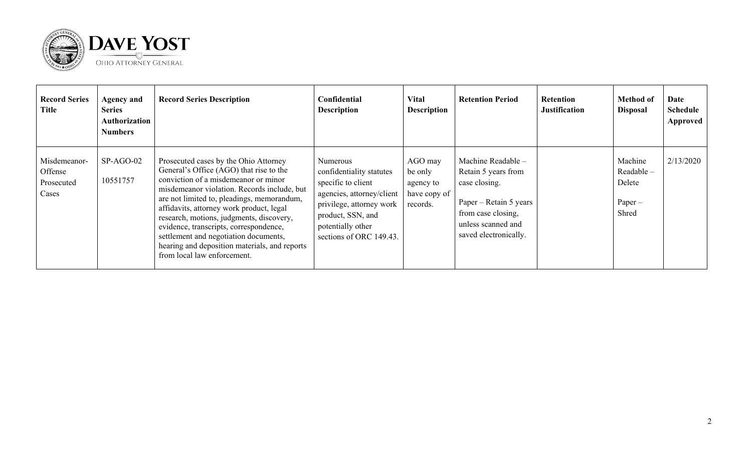

| <b>Record Series</b><br>Title                  | <b>Agency and</b><br><b>Series</b><br>Authorization<br><b>Numbers</b> | <b>Record Series Description</b>                                                                                                                                                                                                                                                                                                                                                                                                                                                 | Confidential<br><b>Description</b>                                                                                                                                                       | <b>Vital</b><br><b>Description</b>                          | <b>Retention Period</b>                                                                                                                                   | <b>Retention</b><br><b>Justification</b> | <b>Method of</b><br><b>Disposal</b>                  | Date<br><b>Schedule</b><br>Approved |
|------------------------------------------------|-----------------------------------------------------------------------|----------------------------------------------------------------------------------------------------------------------------------------------------------------------------------------------------------------------------------------------------------------------------------------------------------------------------------------------------------------------------------------------------------------------------------------------------------------------------------|------------------------------------------------------------------------------------------------------------------------------------------------------------------------------------------|-------------------------------------------------------------|-----------------------------------------------------------------------------------------------------------------------------------------------------------|------------------------------------------|------------------------------------------------------|-------------------------------------|
| Misdemeanor-<br>Offense<br>Prosecuted<br>Cases | $SP-AGO-02$<br>10551757                                               | Prosecuted cases by the Ohio Attorney<br>General's Office (AGO) that rise to the<br>conviction of a misdemeanor or minor<br>misdemeanor violation. Records include, but<br>are not limited to, pleadings, memorandum,<br>affidavits, attorney work product, legal<br>research, motions, judgments, discovery,<br>evidence, transcripts, correspondence,<br>settlement and negotiation documents,<br>hearing and deposition materials, and reports<br>from local law enforcement. | Numerous<br>confidentiality statutes<br>specific to client<br>agencies, attorney/client<br>privilege, attorney work<br>product, SSN, and<br>potentially other<br>sections of ORC 149.43. | AGO may<br>be only<br>agency to<br>have copy of<br>records. | Machine Readable -<br>Retain 5 years from<br>case closing.<br>Paper – Retain 5 years<br>from case closing,<br>unless scanned and<br>saved electronically. |                                          | Machine<br>Readable-<br>Delete<br>$Paper -$<br>Shred | 2/13/2020                           |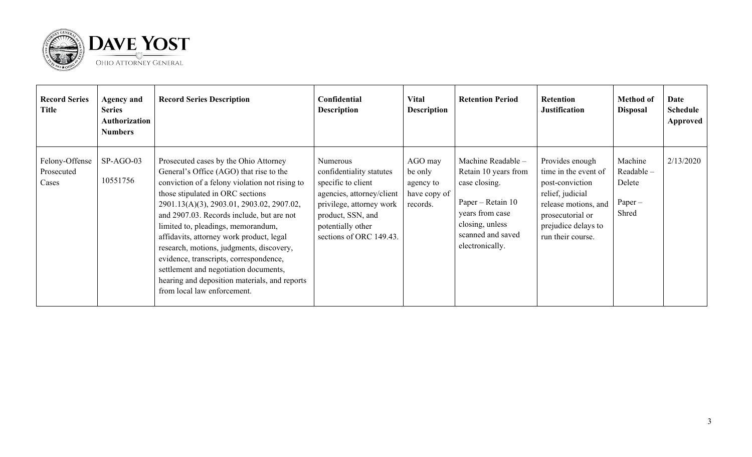

| <b>Record Series</b><br>Title         | <b>Agency and</b><br><b>Series</b><br><b>Authorization</b><br><b>Numbers</b> | <b>Record Series Description</b>                                                                                                                                                                                                                                                                                                                                                                                                                                                                                                                                  | Confidential<br><b>Description</b>                                                                                                                                                       | <b>Vital</b><br><b>Description</b>                          | <b>Retention Period</b>                                                                                                                                        | <b>Retention</b><br><b>Justification</b>                                                                                                                               | <b>Method of</b><br><b>Disposal</b>                  | Date<br><b>Schedule</b><br><b>Approved</b> |
|---------------------------------------|------------------------------------------------------------------------------|-------------------------------------------------------------------------------------------------------------------------------------------------------------------------------------------------------------------------------------------------------------------------------------------------------------------------------------------------------------------------------------------------------------------------------------------------------------------------------------------------------------------------------------------------------------------|------------------------------------------------------------------------------------------------------------------------------------------------------------------------------------------|-------------------------------------------------------------|----------------------------------------------------------------------------------------------------------------------------------------------------------------|------------------------------------------------------------------------------------------------------------------------------------------------------------------------|------------------------------------------------------|--------------------------------------------|
| Felony-Offense<br>Prosecuted<br>Cases | $SP-AGO-03$<br>10551756                                                      | Prosecuted cases by the Ohio Attorney<br>General's Office (AGO) that rise to the<br>conviction of a felony violation not rising to<br>those stipulated in ORC sections<br>2901.13(A)(3), 2903.01, 2903.02, 2907.02,<br>and 2907.03. Records include, but are not<br>limited to, pleadings, memorandum,<br>affidavits, attorney work product, legal<br>research, motions, judgments, discovery,<br>evidence, transcripts, correspondence,<br>settlement and negotiation documents,<br>hearing and deposition materials, and reports<br>from local law enforcement. | Numerous<br>confidentiality statutes<br>specific to client<br>agencies, attorney/client<br>privilege, attorney work<br>product, SSN, and<br>potentially other<br>sections of ORC 149.43. | AGO may<br>be only<br>agency to<br>have copy of<br>records. | Machine Readable -<br>Retain 10 years from<br>case closing.<br>Paper – Retain 10<br>years from case<br>closing, unless<br>scanned and saved<br>electronically. | Provides enough<br>time in the event of<br>post-conviction<br>relief, judicial<br>release motions, and<br>prosecutorial or<br>prejudice delays to<br>run their course. | Machine<br>Readable-<br>Delete<br>$Paper -$<br>Shred | 2/13/2020                                  |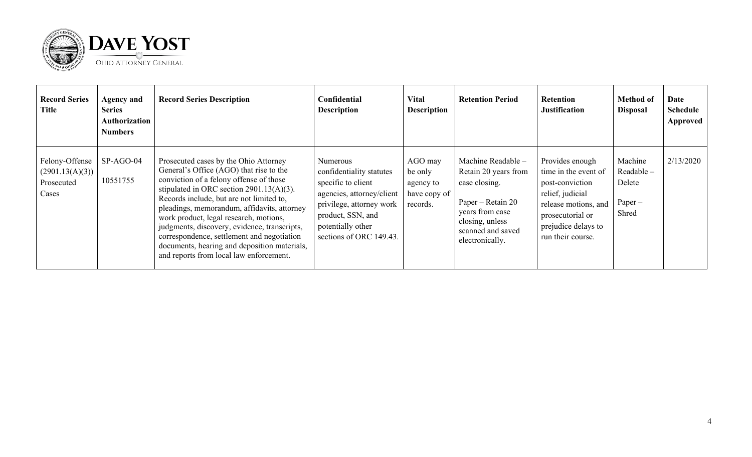

| <b>Record Series</b><br>Title                            | <b>Agency and</b><br><b>Series</b><br>Authorization<br><b>Numbers</b> | <b>Record Series Description</b>                                                                                                                                                                                                                                                                                                                                                                                                                                                                         | Confidential<br><b>Description</b>                                                                                                                                                       | <b>Vital</b><br><b>Description</b>                          | <b>Retention Period</b>                                                                                                                                        | Retention<br><b>Justification</b>                                                                                                                                      | <b>Method of</b><br><b>Disposal</b>                  | <b>Date</b><br><b>Schedule</b><br><b>Approved</b> |
|----------------------------------------------------------|-----------------------------------------------------------------------|----------------------------------------------------------------------------------------------------------------------------------------------------------------------------------------------------------------------------------------------------------------------------------------------------------------------------------------------------------------------------------------------------------------------------------------------------------------------------------------------------------|------------------------------------------------------------------------------------------------------------------------------------------------------------------------------------------|-------------------------------------------------------------|----------------------------------------------------------------------------------------------------------------------------------------------------------------|------------------------------------------------------------------------------------------------------------------------------------------------------------------------|------------------------------------------------------|---------------------------------------------------|
| Felony-Offense<br>(2901.13(A)(3))<br>Prosecuted<br>Cases | SP-AGO-04<br>10551755                                                 | Prosecuted cases by the Ohio Attorney<br>General's Office (AGO) that rise to the<br>conviction of a felony offense of those<br>stipulated in ORC section $2901.13(A)(3)$ .<br>Records include, but are not limited to,<br>pleadings, memorandum, affidavits, attorney<br>work product, legal research, motions,<br>judgments, discovery, evidence, transcripts,<br>correspondence, settlement and negotiation<br>documents, hearing and deposition materials,<br>and reports from local law enforcement. | Numerous<br>confidentiality statutes<br>specific to client<br>agencies, attorney/client<br>privilege, attorney work<br>product, SSN, and<br>potentially other<br>sections of ORC 149.43. | AGO may<br>be only<br>agency to<br>have copy of<br>records. | Machine Readable -<br>Retain 20 years from<br>case closing.<br>Paper – Retain 20<br>years from case<br>closing, unless<br>scanned and saved<br>electronically. | Provides enough<br>time in the event of<br>post-conviction<br>relief, judicial<br>release motions, and<br>prosecutorial or<br>prejudice delays to<br>run their course. | Machine<br>Readable-<br>Delete<br>$Paper -$<br>Shred | 2/13/2020                                         |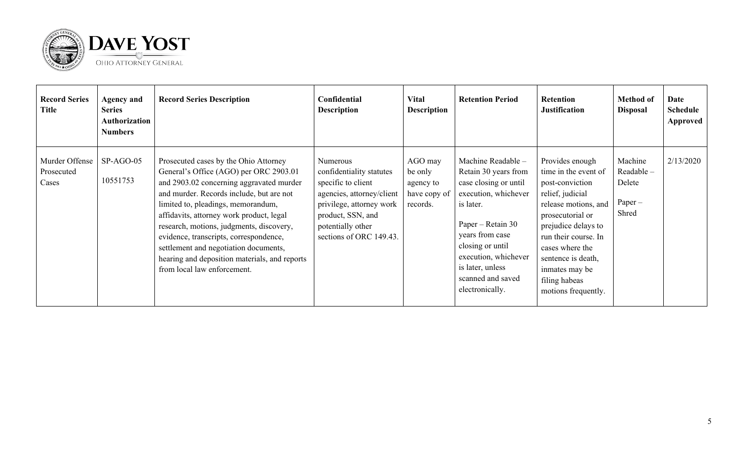

| <b>Record Series</b><br>Title         | <b>Agency and</b><br><b>Series</b><br>Authorization<br><b>Numbers</b> | <b>Record Series Description</b>                                                                                                                                                                                                                                                                                                                                                                                                                                         | Confidential<br><b>Description</b>                                                                                                                                                       | <b>Vital</b><br><b>Description</b>                          | <b>Retention Period</b>                                                                                                                                                                                                                                  | <b>Retention</b><br><b>Justification</b>                                                                                                                                                                                                                                     | <b>Method of</b><br><b>Disposal</b>                  | Date<br><b>Schedule</b><br><b>Approved</b> |
|---------------------------------------|-----------------------------------------------------------------------|--------------------------------------------------------------------------------------------------------------------------------------------------------------------------------------------------------------------------------------------------------------------------------------------------------------------------------------------------------------------------------------------------------------------------------------------------------------------------|------------------------------------------------------------------------------------------------------------------------------------------------------------------------------------------|-------------------------------------------------------------|----------------------------------------------------------------------------------------------------------------------------------------------------------------------------------------------------------------------------------------------------------|------------------------------------------------------------------------------------------------------------------------------------------------------------------------------------------------------------------------------------------------------------------------------|------------------------------------------------------|--------------------------------------------|
| Murder Offense<br>Prosecuted<br>Cases | $SP-AGO-05$<br>10551753                                               | Prosecuted cases by the Ohio Attorney<br>General's Office (AGO) per ORC 2903.01<br>and 2903.02 concerning aggravated murder<br>and murder. Records include, but are not<br>limited to, pleadings, memorandum,<br>affidavits, attorney work product, legal<br>research, motions, judgments, discovery,<br>evidence, transcripts, correspondence,<br>settlement and negotiation documents,<br>hearing and deposition materials, and reports<br>from local law enforcement. | Numerous<br>confidentiality statutes<br>specific to client<br>agencies, attorney/client<br>privilege, attorney work<br>product, SSN, and<br>potentially other<br>sections of ORC 149.43. | AGO may<br>be only<br>agency to<br>have copy of<br>records. | Machine Readable -<br>Retain 30 years from<br>case closing or until<br>execution, whichever<br>is later.<br>Paper – Retain 30<br>years from case<br>closing or until<br>execution, whichever<br>is later, unless<br>scanned and saved<br>electronically. | Provides enough<br>time in the event of<br>post-conviction<br>relief, judicial<br>release motions, and<br>prosecutorial or<br>prejudice delays to<br>run their course. In<br>cases where the<br>sentence is death,<br>inmates may be<br>filing habeas<br>motions frequently. | Machine<br>Readable-<br>Delete<br>$Paper -$<br>Shred | 2/13/2020                                  |